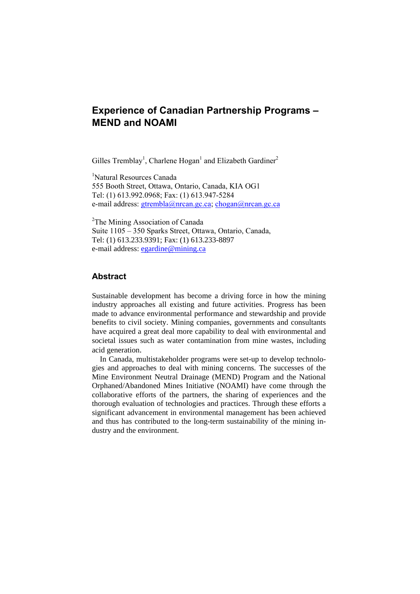# **Experience of Canadian Partnership Programs – MEND and NOAMI**

Gilles Tremblay<sup>1</sup>, Charlene Hogan<sup>1</sup> and Elizabeth Gardiner<sup>2</sup>

1 Natural Resources Canada 555 Booth Street, Ottawa, Ontario, Canada, KIA OG1 Tel: (1) 613.992.0968; Fax: (1) 613.947-5284 e-mail address: gtrembla@nrcan.gc.ca; chogan@nrcan.gc.ca

<sup>2</sup>The Mining Association of Canada Suite 1105 – 350 Sparks Street, Ottawa, Ontario, Canada, Tel: (1) 613.233.9391; Fax: (1) 613.233-8897 e-mail address: egardine@mining.ca

# **Abstract**

Sustainable development has become a driving force in how the mining industry approaches all existing and future activities. Progress has been made to advance environmental performance and stewardship and provide benefits to civil society. Mining companies, governments and consultants have acquired a great deal more capability to deal with environmental and societal issues such as water contamination from mine wastes, including acid generation.

In Canada, multistakeholder programs were set-up to develop technologies and approaches to deal with mining concerns. The successes of the Mine Environment Neutral Drainage (MEND) Program and the National Orphaned/Abandoned Mines Initiative (NOAMI) have come through the collaborative efforts of the partners, the sharing of experiences and the thorough evaluation of technologies and practices. Through these efforts a significant advancement in environmental management has been achieved and thus has contributed to the long-term sustainability of the mining industry and the environment.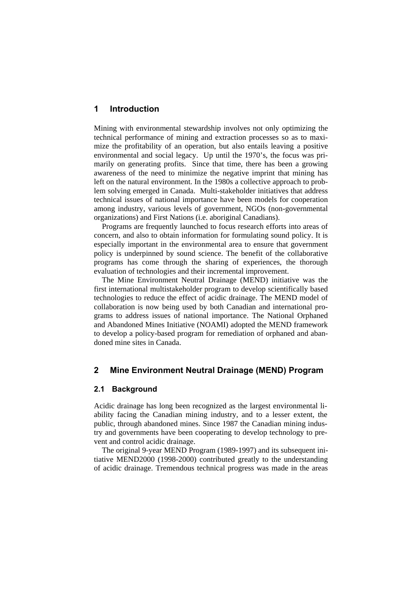# **1 Introduction**

Mining with environmental stewardship involves not only optimizing the technical performance of mining and extraction processes so as to maximize the profitability of an operation, but also entails leaving a positive environmental and social legacy. Up until the 1970's, the focus was primarily on generating profits. Since that time, there has been a growing awareness of the need to minimize the negative imprint that mining has left on the natural environment. In the 1980s a collective approach to problem solving emerged in Canada. Multi-stakeholder initiatives that address technical issues of national importance have been models for cooperation among industry, various levels of government, NGOs (non-governmental organizations) and First Nations (i.e. aboriginal Canadians).

Programs are frequently launched to focus research efforts into areas of concern, and also to obtain information for formulating sound policy. It is especially important in the environmental area to ensure that government policy is underpinned by sound science. The benefit of the collaborative programs has come through the sharing of experiences, the thorough evaluation of technologies and their incremental improvement.

The Mine Environment Neutral Drainage (MEND) initiative was the first international multistakeholder program to develop scientifically based technologies to reduce the effect of acidic drainage. The MEND model of collaboration is now being used by both Canadian and international programs to address issues of national importance. The National Orphaned and Abandoned Mines Initiative (NOAMI) adopted the MEND framework to develop a policy-based program for remediation of orphaned and abandoned mine sites in Canada.

# **2 Mine Environment Neutral Drainage (MEND) Program**

#### **2.1 Background**

Acidic drainage has long been recognized as the largest environmental liability facing the Canadian mining industry, and to a lesser extent, the public, through abandoned mines. Since 1987 the Canadian mining industry and governments have been cooperating to develop technology to prevent and control acidic drainage.

The original 9-year MEND Program (1989-1997) and its subsequent initiative MEND2000 (1998-2000) contributed greatly to the understanding of acidic drainage. Tremendous technical progress was made in the areas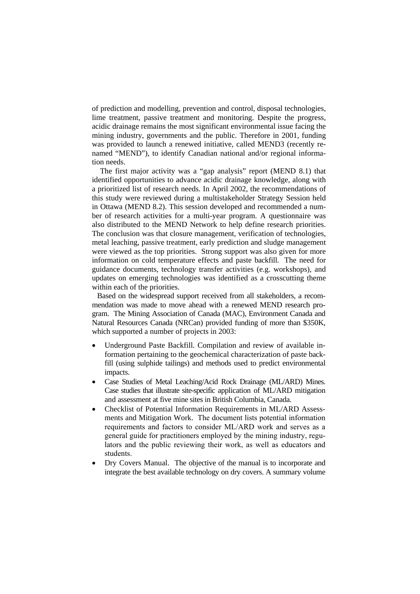of prediction and modelling, prevention and control, disposal technologies, lime treatment, passive treatment and monitoring. Despite the progress, acidic drainage remains the most significant environmental issue facing the mining industry, governments and the public. Therefore in 2001, funding was provided to launch a renewed initiative, called MEND3 (recently renamed "MEND"), to identify Canadian national and/or regional information needs.

The first major activity was a "gap analysis" report (MEND 8.1) that identified opportunities to advance acidic drainage knowledge, along with a prioritized list of research needs. In April 2002, the recommendations of this study were reviewed during a multistakeholder Strategy Session held in Ottawa (MEND 8.2). This session developed and recommended a number of research activities for a multi-year program. A questionnaire was also distributed to the MEND Network to help define research priorities. The conclusion was that closure management, verification of technologies, metal leaching, passive treatment, early prediction and sludge management were viewed as the top priorities. Strong support was also given for more information on cold temperature effects and paste backfill. The need for guidance documents, technology transfer activities (e.g. workshops), and updates on emerging technologies was identified as a crosscutting theme within each of the priorities.

 Based on the widespread support received from all stakeholders, a recommendation was made to move ahead with a renewed MEND research program. The Mining Association of Canada (MAC), Environment Canada and Natural Resources Canada (NRCan) provided funding of more than \$350K, which supported a number of projects in 2003:

- Underground Paste Backfill. Compilation and review of available information pertaining to the geochemical characterization of paste backfill (using sulphide tailings) and methods used to predict environmental impacts.
- Case Studies of Metal Leaching/Acid Rock Drainage (ML/ARD) Mines. Case studies that illustrate site-specific application of ML/ARD mitigation and assessment at five mine sites in British Columbia, Canada.
- Checklist of Potential Information Requirements in ML/ARD Assessments and Mitigation Work. The document lists potential information requirements and factors to consider ML/ARD work and serves as a general guide for practitioners employed by the mining industry, regulators and the public reviewing their work, as well as educators and students.
- Dry Covers Manual. The objective of the manual is to incorporate and integrate the best available technology on dry covers. A summary volume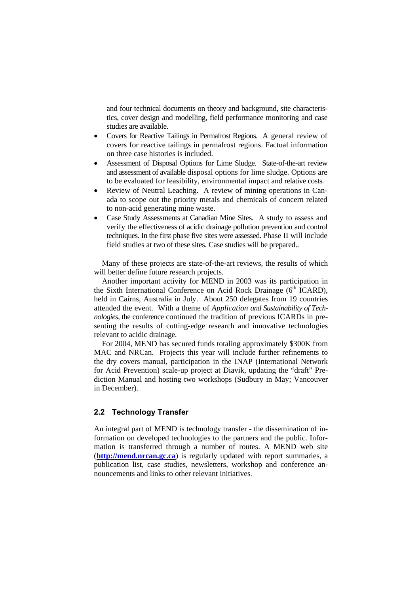and four technical documents on theory and background, site characteristics, cover design and modelling, field performance monitoring and case studies are available.

- Covers for Reactive Tailings in Permafrost Regions. A general review of covers for reactive tailings in permafrost regions. Factual information on three case histories is included.
- Assessment of Disposal Options for Lime Sludge. State-of-the-art review and assessment of available disposal options for lime sludge. Options are to be evaluated for feasibility, environmental impact and relative costs.
- Review of Neutral Leaching. A review of mining operations in Canada to scope out the priority metals and chemicals of concern related to non-acid generating mine waste.
- Case Study Assessments at Canadian Mine Sites. A study to assess and verify the effectiveness of acidic drainage pollution prevention and control techniques. In the first phase five sites were assessed. Phase II will include field studies at two of these sites. Case studies will be prepared..

Many of these projects are state-of-the-art reviews, the results of which will better define future research projects.

Another important activity for MEND in 2003 was its participation in the Sixth International Conference on Acid Rock Drainage (6<sup>th</sup> ICARD), held in Cairns, Australia in July. About 250 delegates from 19 countries attended the event. With a theme of *Application and Sustainability of Technologies,* the conference continued the tradition of previous ICARDs in presenting the results of cutting-edge research and innovative technologies relevant to acidic drainage.

For 2004, MEND has secured funds totaling approximately \$300K from MAC and NRCan. Projects this year will include further refinements to the dry covers manual, participation in the INAP (International Network for Acid Prevention) scale-up project at Diavik, updating the "draft" Prediction Manual and hosting two workshops (Sudbury in May; Vancouver in December).

## **2.2 Technology Transfer**

An integral part of MEND is technology transfer - the dissemination of information on developed technologies to the partners and the public. Information is transferred through a number of routes. A MEND web site (**http://mend.nrcan.gc.ca**) is regularly updated with report summaries, a publication list, case studies, newsletters, workshop and conference announcements and links to other relevant initiatives.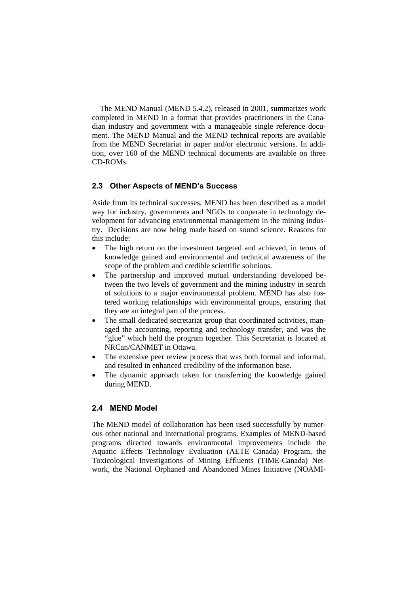The MEND Manual (MEND 5.4.2), released in 2001, summarizes work completed in MEND in a format that provides practitioners in the Canadian industry and government with a manageable single reference document. The MEND Manual and the MEND technical reports are available from the MEND Secretariat in paper and/or electronic versions. In addition, over 160 of the MEND technical documents are available on three CD-ROMs.

#### **2.3 Other Aspects of MEND's Success**

Aside from its technical successes, MEND has been described as a model way for industry, governments and NGOs to cooperate in technology development for advancing environmental management in the mining industry. Decisions are now being made based on sound science. Reasons for this include:

- The high return on the investment targeted and achieved, in terms of knowledge gained and environmental and technical awareness of the scope of the problem and credible scientific solutions.
- The partnership and improved mutual understanding developed between the two levels of government and the mining industry in search of solutions to a major environmental problem. MEND has also fostered working relationships with environmental groups, ensuring that they are an integral part of the process.
- The small dedicated secretariat group that coordinated activities, managed the accounting, reporting and technology transfer, and was the "glue" which held the program together. This Secretariat is located at NRCan/CANMET in Ottawa.
- The extensive peer review process that was both formal and informal, and resulted in enhanced credibility of the information base.
- The dynamic approach taken for transferring the knowledge gained during MEND.

# **2.4 MEND Model**

The MEND model of collaboration has been used successfully by numerous other national and international programs. Examples of MEND-based programs directed towards environmental improvements include the Aquatic Effects Technology Evaluation (AETE–Canada) Program, the Toxicological Investigations of Mining Effluents (TIME-Canada) Network, the National Orphaned and Abandoned Mines Initiative (NOAMI-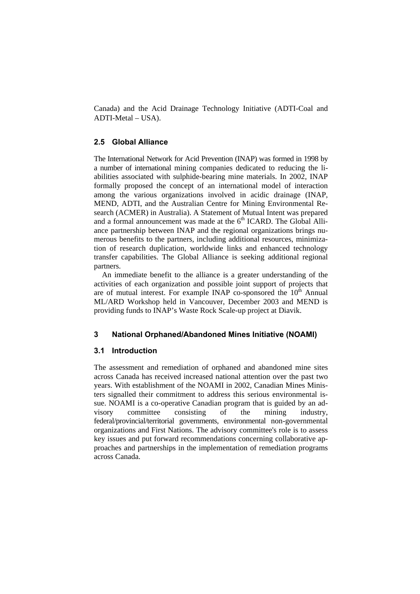Canada) and the Acid Drainage Technology Initiative (ADTI-Coal and ADTI-Metal – USA).

# **2.5 Global Alliance**

The International Network for Acid Prevention (INAP) was formed in 1998 by a number of international mining companies dedicated to reducing the liabilities associated with sulphide-bearing mine materials. In 2002, INAP formally proposed the concept of an international model of interaction among the various organizations involved in acidic drainage (INAP, MEND, ADTI, and the Australian Centre for Mining Environmental Research (ACMER) in Australia). A Statement of Mutual Intent was prepared and a formal announcement was made at the  $6<sup>th</sup>$  ICARD. The Global Alliance partnership between INAP and the regional organizations brings numerous benefits to the partners, including additional resources, minimization of research duplication, worldwide links and enhanced technology transfer capabilities. The Global Alliance is seeking additional regional partners.

An immediate benefit to the alliance is a greater understanding of the activities of each organization and possible joint support of projects that are of mutual interest. For example INAP co-sponsored the  $10<sup>th</sup>$  Annual ML/ARD Workshop held in Vancouver, December 2003 and MEND is providing funds to INAP's Waste Rock Scale-up project at Diavik.

#### **3 National Orphaned/Abandoned Mines Initiative (NOAMI)**

## **3.1 Introduction**

The assessment and remediation of orphaned and abandoned mine sites across Canada has received increased national attention over the past two years. With establishment of the NOAMI in 2002, Canadian Mines Ministers signalled their commitment to address this serious environmental issue. NOAMI is a co-operative Canadian program that is guided by an advisory committee consisting of the mining industry, federal/provincial/territorial governments, environmental non-governmental organizations and First Nations. The advisory committee's role is to assess key issues and put forward recommendations concerning collaborative approaches and partnerships in the implementation of remediation programs across Canada.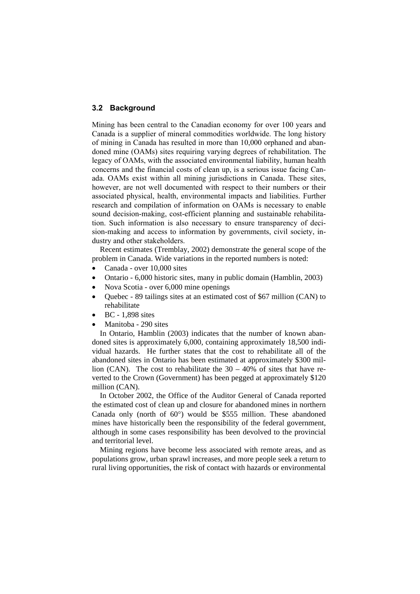# **3.2 Background**

Mining has been central to the Canadian economy for over 100 years and Canada is a supplier of mineral commodities worldwide. The long history of mining in Canada has resulted in more than 10,000 orphaned and abandoned mine (OAMs) sites requiring varying degrees of rehabilitation. The legacy of OAMs, with the associated environmental liability, human health concerns and the financial costs of clean up, is a serious issue facing Canada. OAMs exist within all mining jurisdictions in Canada. These sites, however, are not well documented with respect to their numbers or their associated physical, health, environmental impacts and liabilities. Further research and compilation of information on OAMs is necessary to enable sound decision-making, cost-efficient planning and sustainable rehabilitation. Such information is also necessary to ensure transparency of decision-making and access to information by governments, civil society, industry and other stakeholders.

Recent estimates (Tremblay, 2002) demonstrate the general scope of the problem in Canada. Wide variations in the reported numbers is noted:

- Canada over 10,000 sites
- Ontario 6,000 historic sites, many in public domain (Hamblin, 2003)
- Nova Scotia over 6,000 mine openings
- Quebec 89 tailings sites at an estimated cost of \$67 million (CAN) to rehabilitate
- BC 1,898 sites
- Manitoba 290 sites

In Ontario, Hamblin (2003) indicates that the number of known abandoned sites is approximately 6,000, containing approximately 18,500 individual hazards. He further states that the cost to rehabilitate all of the abandoned sites in Ontario has been estimated at approximately \$300 million (CAN). The cost to rehabilitate the  $30 - 40\%$  of sites that have reverted to the Crown (Government) has been pegged at approximately \$120 million (CAN).

In October 2002, the Office of the Auditor General of Canada reported the estimated cost of clean up and closure for abandoned mines in northern Canada only (north of 60°) would be \$555 million. These abandoned mines have historically been the responsibility of the federal government, although in some cases responsibility has been devolved to the provincial and territorial level.

Mining regions have become less associated with remote areas, and as populations grow, urban sprawl increases, and more people seek a return to rural living opportunities, the risk of contact with hazards or environmental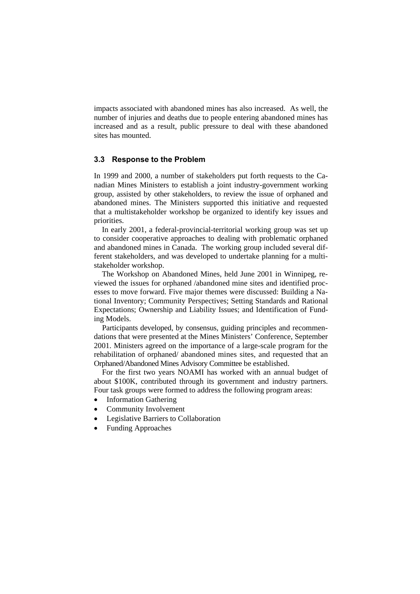impacts associated with abandoned mines has also increased. As well, the number of injuries and deaths due to people entering abandoned mines has increased and as a result, public pressure to deal with these abandoned sites has mounted.

## **3.3 Response to the Problem**

In 1999 and 2000, a number of stakeholders put forth requests to the Canadian Mines Ministers to establish a joint industry-government working group, assisted by other stakeholders, to review the issue of orphaned and abandoned mines. The Ministers supported this initiative and requested that a multistakeholder workshop be organized to identify key issues and priorities.

In early 2001, a federal-provincial-territorial working group was set up to consider cooperative approaches to dealing with problematic orphaned and abandoned mines in Canada. The working group included several different stakeholders, and was developed to undertake planning for a multistakeholder workshop.

The Workshop on Abandoned Mines, held June 2001 in Winnipeg, reviewed the issues for orphaned /abandoned mine sites and identified processes to move forward. Five major themes were discussed: Building a National Inventory; Community Perspectives; Setting Standards and Rational Expectations; Ownership and Liability Issues; and Identification of Funding Models.

Participants developed, by consensus, guiding principles and recommendations that were presented at the Mines Ministers' Conference, September 2001. Ministers agreed on the importance of a large-scale program for the rehabilitation of orphaned/ abandoned mines sites, and requested that an Orphaned/Abandoned Mines Advisory Committee be established.

For the first two years NOAMI has worked with an annual budget of about \$100K, contributed through its government and industry partners. Four task groups were formed to address the following program areas:

- **Information Gathering**
- Community Involvement
- Legislative Barriers to Collaboration
- Funding Approaches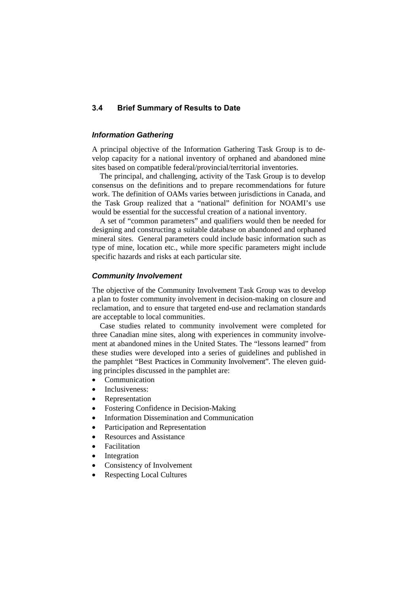# **3.4 Brief Summary of Results to Date**

# *Information Gathering*

A principal objective of the Information Gathering Task Group is to develop capacity for a national inventory of orphaned and abandoned mine sites based on compatible federal/provincial/territorial inventories.

The principal, and challenging, activity of the Task Group is to develop consensus on the definitions and to prepare recommendations for future work. The definition of OAMs varies between jurisdictions in Canada, and the Task Group realized that a "national" definition for NOAMI's use would be essential for the successful creation of a national inventory.

A set of "common parameters" and qualifiers would then be needed for designing and constructing a suitable database on abandoned and orphaned mineral sites. General parameters could include basic information such as type of mine, location etc., while more specific parameters might include specific hazards and risks at each particular site.

#### *Community Involvement*

The objective of the Community Involvement Task Group was to develop a plan to foster community involvement in decision-making on closure and reclamation, and to ensure that targeted end-use and reclamation standards are acceptable to local communities.

Case studies related to community involvement were completed for three Canadian mine sites, along with experiences in community involvement at abandoned mines in the United States. The "lessons learned" from these studies were developed into a series of guidelines and published in the pamphlet "Best Practices in Community Involvement". The eleven guiding principles discussed in the pamphlet are:

- **Communication**
- Inclusiveness:
- **Representation**
- Fostering Confidence in Decision-Making
- Information Dissemination and Communication
- Participation and Representation
- Resources and Assistance
- Facilitation
- **Integration**
- Consistency of Involvement
- Respecting Local Cultures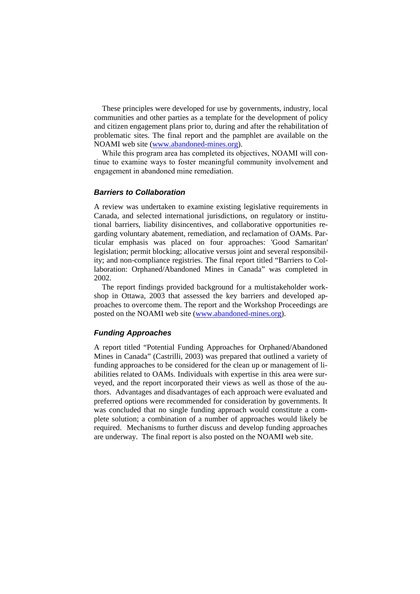These principles were developed for use by governments, industry, local communities and other parties as a template for the development of policy and citizen engagement plans prior to, during and after the rehabilitation of problematic sites. The final report and the pamphlet are available on the NOAMI web site (www.abandoned-mines.org).

While this program area has completed its objectives, NOAMI will continue to examine ways to foster meaningful community involvement and engagement in abandoned mine remediation.

#### *Barriers to Collaboration*

A review was undertaken to examine existing legislative requirements in Canada, and selected international jurisdictions, on regulatory or institutional barriers, liability disincentives, and collaborative opportunities regarding voluntary abatement, remediation, and reclamation of OAMs. Particular emphasis was placed on four approaches: 'Good Samaritan' legislation; permit blocking; allocative versus joint and several responsibility; and non-compliance registries. The final report titled "Barriers to Collaboration: Orphaned/Abandoned Mines in Canada" was completed in 2002.

The report findings provided background for a multistakeholder workshop in Ottawa, 2003 that assessed the key barriers and developed approaches to overcome them. The report and the Workshop Proceedings are posted on the NOAMI web site (www.abandoned-mines.org).

#### *Funding Approaches*

A report titled "Potential Funding Approaches for Orphaned/Abandoned Mines in Canada" (Castrilli, 2003) was prepared that outlined a variety of funding approaches to be considered for the clean up or management of liabilities related to OAMs. Individuals with expertise in this area were surveyed, and the report incorporated their views as well as those of the authors. Advantages and disadvantages of each approach were evaluated and preferred options were recommended for consideration by governments. It was concluded that no single funding approach would constitute a complete solution; a combination of a number of approaches would likely be required. Mechanisms to further discuss and develop funding approaches are underway. The final report is also posted on the NOAMI web site.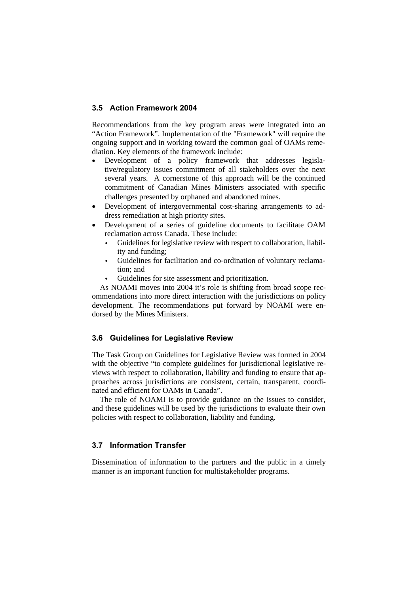## **3.5 Action Framework 2004**

Recommendations from the key program areas were integrated into an "Action Framework". Implementation of the "Framework" will require the ongoing support and in working toward the common goal of OAMs remediation. Key elements of the framework include:

- Development of a policy framework that addresses legislative/regulatory issues commitment of all stakeholders over the next several years. A cornerstone of this approach will be the continued commitment of Canadian Mines Ministers associated with specific challenges presented by orphaned and abandoned mines.
- Development of intergovernmental cost-sharing arrangements to address remediation at high priority sites.
- Development of a series of guideline documents to facilitate OAM reclamation across Canada. These include:
	- Guidelines for legislative review with respect to collaboration, liability and funding;
	- Guidelines for facilitation and co-ordination of voluntary reclamation; and
	- Guidelines for site assessment and prioritization.

As NOAMI moves into 2004 it's role is shifting from broad scope recommendations into more direct interaction with the jurisdictions on policy development. The recommendations put forward by NOAMI were endorsed by the Mines Ministers.

# **3.6 Guidelines for Legislative Review**

The Task Group on Guidelines for Legislative Review was formed in 2004 with the objective "to complete guidelines for jurisdictional legislative reviews with respect to collaboration, liability and funding to ensure that approaches across jurisdictions are consistent, certain, transparent, coordinated and efficient for OAMs in Canada".

The role of NOAMI is to provide guidance on the issues to consider, and these guidelines will be used by the jurisdictions to evaluate their own policies with respect to collaboration, liability and funding.

# **3.7 Information Transfer**

Dissemination of information to the partners and the public in a timely manner is an important function for multistakeholder programs.